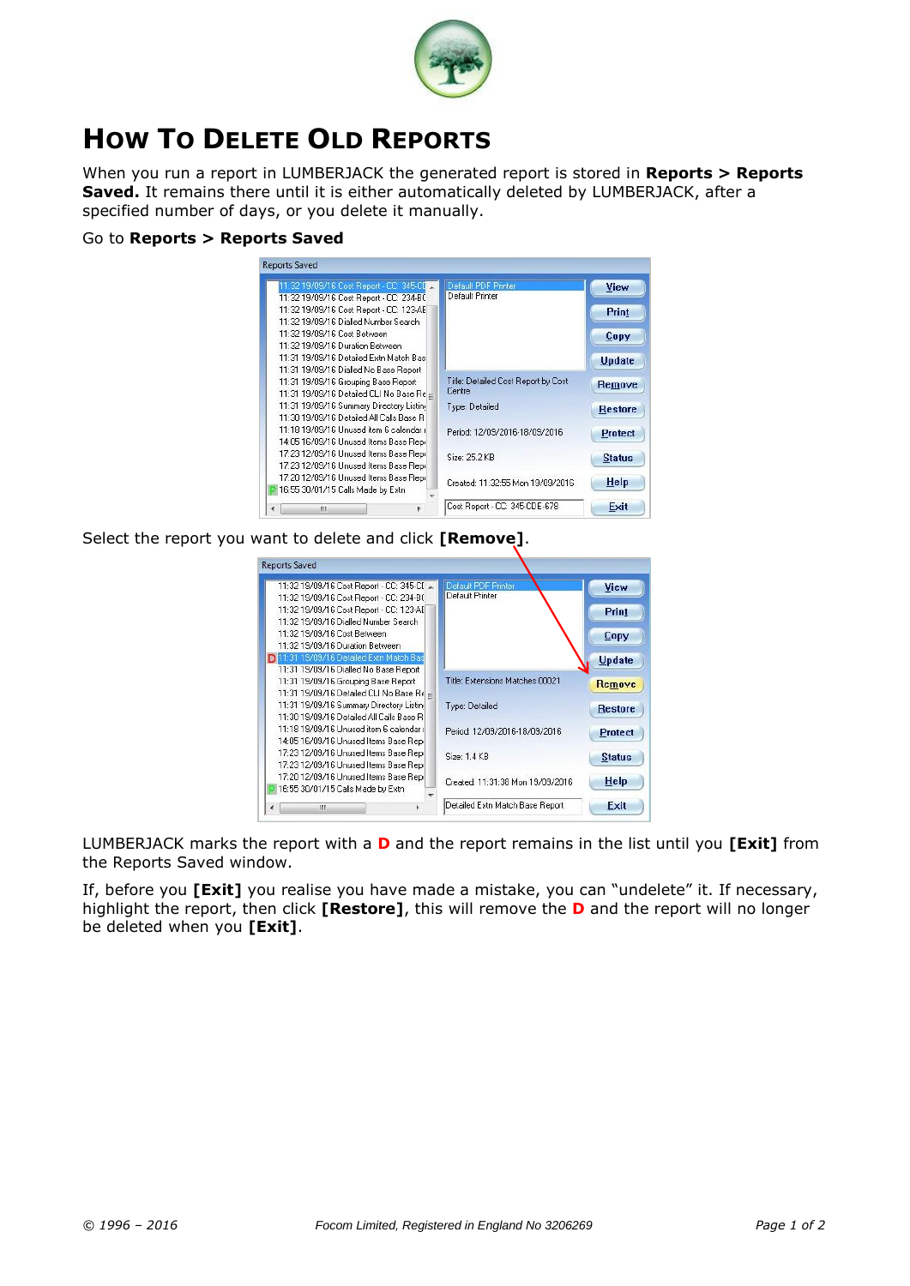

## **HOW TO DELETE OLD REPORTS**

When you run a report in LUMBERJACK the generated report is stored in **Reports > Reports Saved.** It remains there until it is either automatically deleted by LUMBERJACK, after a specified number of days, or you delete it manually.

## Go to **Reports > Reports Saved**

| 11:32 19/09/16 Cost Report - CC: 345-CI × | Default PDF Printer                 | View           |
|-------------------------------------------|-------------------------------------|----------------|
| 11:32 19/09/16 Cost Report - CC: 234-BC   | Default Printer                     |                |
| 11:32 19/09/16 Cost Report - CC: 123-AE   |                                     | Print          |
| 11:32 19/09/16 Dialled Number Search      |                                     |                |
| 11:32 19/09/16 Cost Between               |                                     | Copy           |
| 11:32 19/09/16 Duration Between           |                                     |                |
| 11:31 19/09/16 Detailed Extn Match Bas    |                                     | <b>Update</b>  |
| 11:31 19/09/16 Dialled No Base Report     |                                     |                |
| 11:31 19/09/16 Grouping Base Report       | Title: Detailed Cost Report by Cost | Remove         |
| 11:31 19/09/16 Detailed CLI No Base Re =  | Centre                              |                |
| 11:31 19/09/16 Summary Directory Listin   | Type: Detailed                      | <b>Restore</b> |
| 11:30 19/09/16 Detailed All Calls Base B  |                                     |                |
| 11:18 19/09/16 Unused item 6 calendar (   | Period: 12/09/2016-18/09/2016       | <b>Protect</b> |
| 14:05 16/09/16 Unused Items Base Repi     |                                     |                |
| 17:23 12/09/16 Unused Items Base Repi     | Size: 25.2 KB                       | <b>Status</b>  |
| 17:23 12/09/16 Unused Items Base Repi     |                                     |                |
| 17:20 12/09/16 Unused Items Base Repi     | Created: 11:32:55 Mon 19/09/2016    | Help           |
| 16:55 30/01/15 Calls Made by Extn         |                                     |                |
| ш                                         | Cost Report - CC: 345-CDE-678       | Exit           |

Select the report you want to delete and click **[Remove]**.



LUMBERJACK marks the report with a **D** and the report remains in the list until you **[Exit]** from the Reports Saved window.

If, before you **[Exit]** you realise you have made a mistake, you can "undelete" it. If necessary, highlight the report, then click **[Restore]**, this will remove the **D** and the report will no longer be deleted when you **[Exit]**.